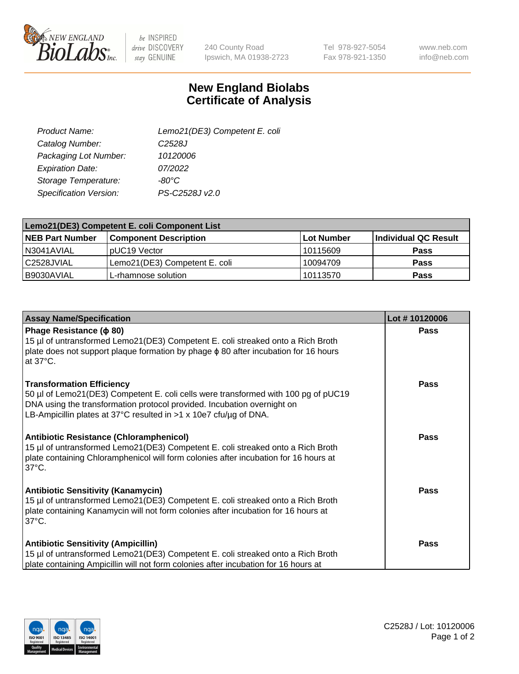

be INSPIRED drive DISCOVERY stay GENUINE

240 County Road Ipswich, MA 01938-2723 Tel 978-927-5054 Fax 978-921-1350 www.neb.com info@neb.com

## **New England Biolabs Certificate of Analysis**

| Lemo21(DE3) Competent E. coli |
|-------------------------------|
| C <sub>2528</sub> J           |
| 10120006                      |
| 07/2022                       |
| $-80^{\circ}$ C               |
| PS-C2528J v2.0                |
|                               |

| Lemo21(DE3) Competent E. coli Component List |                                  |            |                      |  |
|----------------------------------------------|----------------------------------|------------|----------------------|--|
| <b>NEB Part Number</b>                       | <b>Component Description</b>     | Lot Number | Individual QC Result |  |
| N3041AVIAL                                   | I pUC19 Vector                   | 10115609   | <b>Pass</b>          |  |
| l C2528JVIAL                                 | Lemo21(DE3) Competent E. coli    | 10094709   | <b>Pass</b>          |  |
| B9030AVIAL                                   | <sup>I</sup> L-rhamnose solution | 10113570   | <b>Pass</b>          |  |

| <b>Assay Name/Specification</b>                                                                                                                                                                                                                                        | Lot #10120006 |
|------------------------------------------------------------------------------------------------------------------------------------------------------------------------------------------------------------------------------------------------------------------------|---------------|
| Phage Resistance ( $\phi$ 80)<br>15 µl of untransformed Lemo21(DE3) Competent E. coli streaked onto a Rich Broth<br>plate does not support plaque formation by phage $\phi$ 80 after incubation for 16 hours<br>at $37^{\circ}$ C.                                     | <b>Pass</b>   |
| <b>Transformation Efficiency</b><br>50 µl of Lemo21(DE3) Competent E. coli cells were transformed with 100 pg of pUC19<br>DNA using the transformation protocol provided. Incubation overnight on<br>LB-Ampicillin plates at 37°C resulted in >1 x 10e7 cfu/ug of DNA. | <b>Pass</b>   |
| Antibiotic Resistance (Chloramphenicol)<br>15 µl of untransformed Lemo21(DE3) Competent E. coli streaked onto a Rich Broth<br>plate containing Chloramphenicol will form colonies after incubation for 16 hours at<br>$37^{\circ}$ C.                                  | <b>Pass</b>   |
| <b>Antibiotic Sensitivity (Kanamycin)</b><br>15 µl of untransformed Lemo21(DE3) Competent E. coli streaked onto a Rich Broth<br>plate containing Kanamycin will not form colonies after incubation for 16 hours at<br>$37^{\circ}$ C.                                  | <b>Pass</b>   |
| <b>Antibiotic Sensitivity (Ampicillin)</b><br>15 µl of untransformed Lemo21(DE3) Competent E. coli streaked onto a Rich Broth<br>plate containing Ampicillin will not form colonies after incubation for 16 hours at                                                   | Pass          |